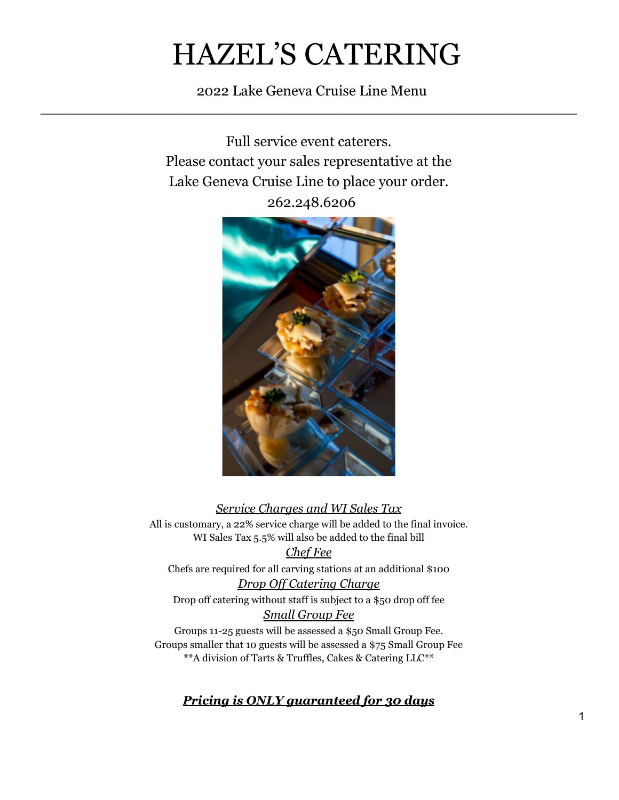# HAZEL'S CATERING

2022 Lake Geneva Cruise Line Menu \_\_\_\_\_\_\_\_\_\_\_\_\_\_\_\_\_\_\_\_\_\_\_\_\_\_\_\_\_\_\_\_\_\_\_\_\_\_\_\_\_\_\_\_\_\_\_\_\_\_\_\_\_\_\_\_\_\_\_

> Full service event caterers. Please contact your sales representative at the Lake Geneva Cruise Line to place your order. 262.248.6206



*Service Charges and WI Sales Tax* All is customary, a 22% service charge will be added to the final invoice. WI Sales Tax 5.5% will also be added to the final bill

*Chef Fee* Chefs are required for all carving stations at an additional \$100 *Drop Off Catering Charge*

Drop off catering without staff is subject to a \$50 drop off fee *Small Group Fee*

Groups 11-25 guests will be assessed a \$50 Small Group Fee. Groups smaller that 10 guests will be assessed a \$75 Small Group Fee \*\*A division of Tarts & Truffles, Cakes & Catering LLC\*\*

# *Pricing is ONLY guaranteed for 30 days*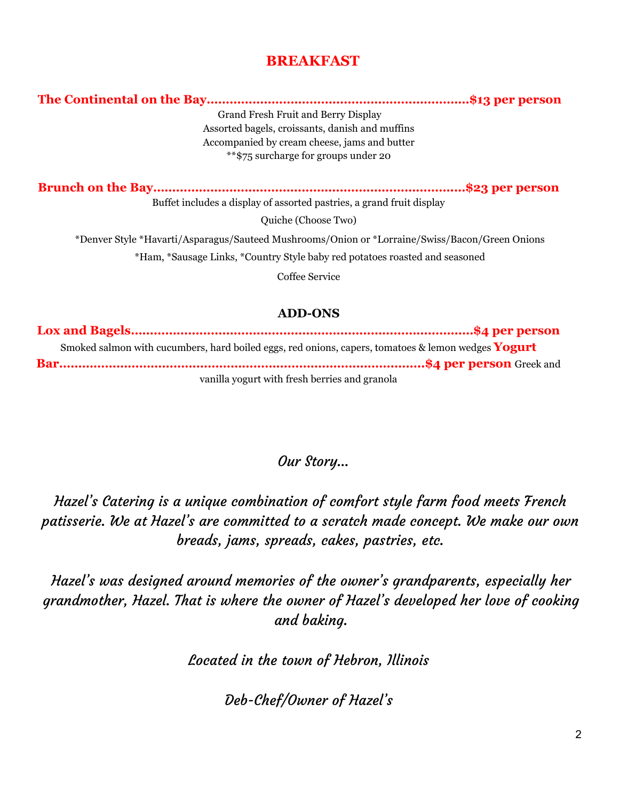# **BREAKFAST**

**The Continental on the Bay……………………………………………………………\$13 per person**

Grand Fresh Fruit and Berry Display Assorted bagels, croissants, danish and muffins Accompanied by cream cheese, jams and butter \*\*\$75 surcharge for groups under 20

**Brunch on the Bay…………………………………………………………………….…\$23 per person**

Buffet includes a display of assorted pastries, a grand fruit display

Quiche (Choose Two)

\*Denver Style \*Havarti/Asparagus/Sauteed Mushrooms/Onion or \*Lorraine/Swiss/Bacon/Green Onions

\*Ham, \*Sausage Links, \*Country Style baby red potatoes roasted and seasoned

Coffee Service

## **ADD-ONS**

**Lox and Bagels………………………………………………………………………………\$4 per person** Smoked salmon with cucumbers, hard boiled eggs, red onions, capers, tomatoes & lemon wedges **Yogurt Bar…………………………………………………………………………….……..\$4 per person** Greek and vanilla yogurt with fresh berries and granola

# Our Story…

Hazel's Catering is a unique combination of comfort style farm food meets French patisserie. We at Hazel's are committed to a scratch made concept. We make our own breads, jams, spreads, cakes, pastries, etc.

Hazel's was designed around memories of the owner's grandparents, especially her grandmother, Hazel. That is where the owner of Hazel's developed her love of cooking and baking.

Located in the town of Hebron, Illinois

Deb-Chef/Owner of Hazel's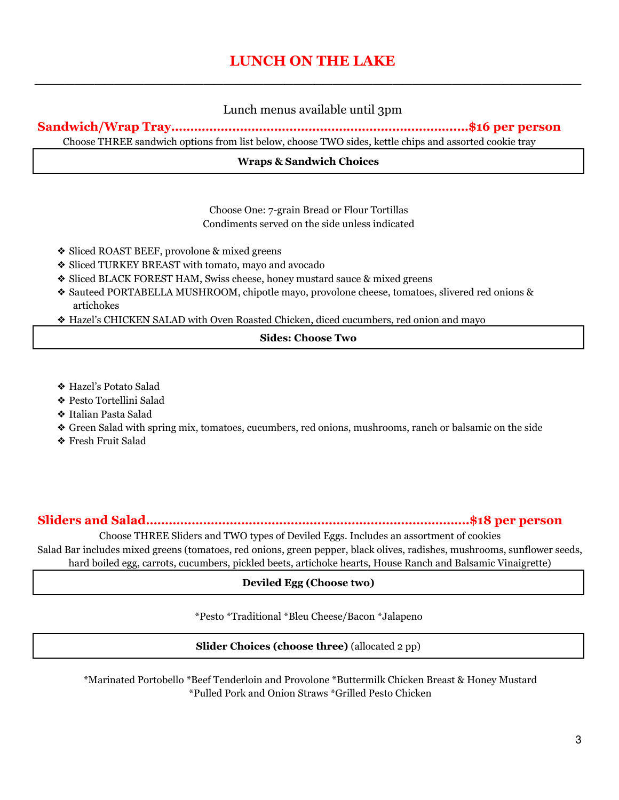# **LUNCH ON THE LAKE \_\_\_\_\_\_\_\_\_\_\_\_\_\_\_\_\_\_\_\_\_\_\_\_\_\_\_\_\_\_\_\_\_\_\_\_\_\_\_\_\_\_\_\_\_\_\_\_\_\_\_\_\_\_\_**

## Lunch menus available until 3pm

## **Sandwich/Wrap Tray…………….…………………………………………………..…\$16 per person**

Choose THREE sandwich options from list below, choose TWO sides, kettle chips and assorted cookie tray

#### **Wraps & Sandwich Choices**

Choose One: 7-grain Bread or Flour Tortillas Condiments served on the side unless indicated

- ❖ Sliced ROAST BEEF, provolone & mixed greens
- ❖ Sliced TURKEY BREAST with tomato, mayo and avocado
- ❖ Sliced BLACK FOREST HAM, Swiss cheese, honey mustard sauce & mixed greens
- ❖ Sauteed PORTABELLA MUSHROOM, chipotle mayo, provolone cheese, tomatoes, slivered red onions & artichokes
- ❖ Hazel's CHICKEN SALAD with Oven Roasted Chicken, diced cucumbers, red onion and mayo

#### **Sides: Choose Two**

- ❖ Hazel's Potato Salad
- ❖ Pesto Tortellini Salad
- ❖ Italian Pasta Salad
- ❖ Green Salad with spring mix, tomatoes, cucumbers, red onions, mushrooms, ranch or balsamic on the side
- ❖ Fresh Fruit Salad

## **Sliders and Salad………………………………………………………………………….\$18 per person**

Choose THREE Sliders and TWO types of Deviled Eggs. Includes an assortment of cookies Salad Bar includes mixed greens (tomatoes, red onions, green pepper, black olives, radishes, mushrooms, sunflower seeds, hard boiled egg, carrots, cucumbers, pickled beets, artichoke hearts, House Ranch and Balsamic Vinaigrette)

#### **Deviled Egg (Choose two)**

\*Pesto \*Traditional \*Bleu Cheese/Bacon \*Jalapeno

#### **Slider Choices (choose three)** (allocated 2 pp)

\*Marinated Portobello \*Beef Tenderloin and Provolone \*Buttermilk Chicken Breast & Honey Mustard \*Pulled Pork and Onion Straws \*Grilled Pesto Chicken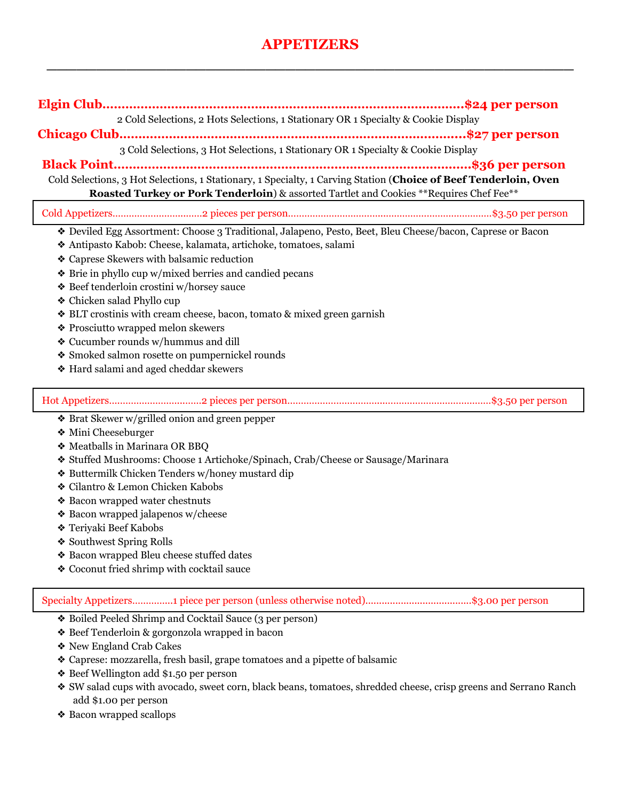# **APPETIZERS**

**\_\_\_\_\_\_\_\_\_\_\_\_\_\_\_\_\_\_\_\_\_\_\_\_\_\_\_\_\_\_\_\_\_\_\_\_\_\_\_\_\_\_\_\_\_\_\_\_\_\_\_\_\_**

|                                                                                                                                                                                                             | \$24 per person          |  |
|-------------------------------------------------------------------------------------------------------------------------------------------------------------------------------------------------------------|--------------------------|--|
| 2 Cold Selections, 2 Hots Selections, 1 Stationary OR 1 Specialty & Cookie Display                                                                                                                          |                          |  |
| Chicago Club                                                                                                                                                                                                | \$27 per person.         |  |
| 3 Cold Selections, 3 Hot Selections, 1 Stationary OR 1 Specialty & Cookie Display                                                                                                                           |                          |  |
|                                                                                                                                                                                                             | <b>\$36 per person</b> . |  |
| Cold Selections, 3 Hot Selections, 1 Stationary, 1 Specialty, 1 Carving Station (Choice of Beef Tenderloin, Oven<br>Roasted Turkey or Pork Tenderloin) & assorted Tartlet and Cookies **Requires Chef Fee** |                          |  |
|                                                                                                                                                                                                             |                          |  |
| * Deviled Egg Assortment: Choose 3 Traditional, Jalapeno, Pesto, Beet, Bleu Cheese/bacon, Caprese or Bacon                                                                                                  |                          |  |
| Antipasto Kabob: Cheese, kalamata, artichoke, tomatoes, salami                                                                                                                                              |                          |  |
| ❖ Caprese Skewers with balsamic reduction                                                                                                                                                                   |                          |  |
| ❖ Brie in phyllo cup w/mixed berries and candied pecans                                                                                                                                                     |                          |  |
| ❖ Beef tenderloin crostini w/horsey sauce                                                                                                                                                                   |                          |  |
| ❖ Chicken salad Phyllo cup                                                                                                                                                                                  |                          |  |
| ❖ BLT crostinis with cream cheese, bacon, tomato & mixed green garnish                                                                                                                                      |                          |  |
| ❖ Prosciutto wrapped melon skewers                                                                                                                                                                          |                          |  |

- ❖ Cucumber rounds w/hummus and dill
- ❖ Smoked salmon rosette on pumpernickel rounds
- ❖ Hard salami and aged cheddar skewers

#### Hot Appetizers….…………………...……2 pieces per person……………………………...…………………………………\$3.50 per person

- ❖ Brat Skewer w/grilled onion and green pepper
- ❖ Mini Cheeseburger
- ❖ Meatballs in Marinara OR BBQ
- ❖ Stuffed Mushrooms: Choose 1 Artichoke/Spinach, Crab/Cheese or Sausage/Marinara
- ❖ Buttermilk Chicken Tenders w/honey mustard dip
- ❖ Cilantro & Lemon Chicken Kabobs
- ❖ Bacon wrapped water chestnuts
- ❖ Bacon wrapped jalapenos w/cheese
- ❖ Teriyaki Beef Kabobs
- ❖ Southwest Spring Rolls
- ❖ Bacon wrapped Bleu cheese stuffed dates
- ❖ Coconut fried shrimp with cocktail sauce

#### Specialty Appetizers…………...1 piece per person (unless otherwise noted).......................................\$3.00 per person

- ❖ Boiled Peeled Shrimp and Cocktail Sauce (3 per person)
- ❖ Beef Tenderloin & gorgonzola wrapped in bacon
- ❖ New England Crab Cakes
- ❖ Caprese: mozzarella, fresh basil, grape tomatoes and a pipette of balsamic
- ❖ Beef Wellington add \$1.50 per person
- ❖ SW salad cups with avocado, sweet corn, black beans, tomatoes, shredded cheese, crisp greens and Serrano Ranch add \$1.00 per person
- ❖ Bacon wrapped scallops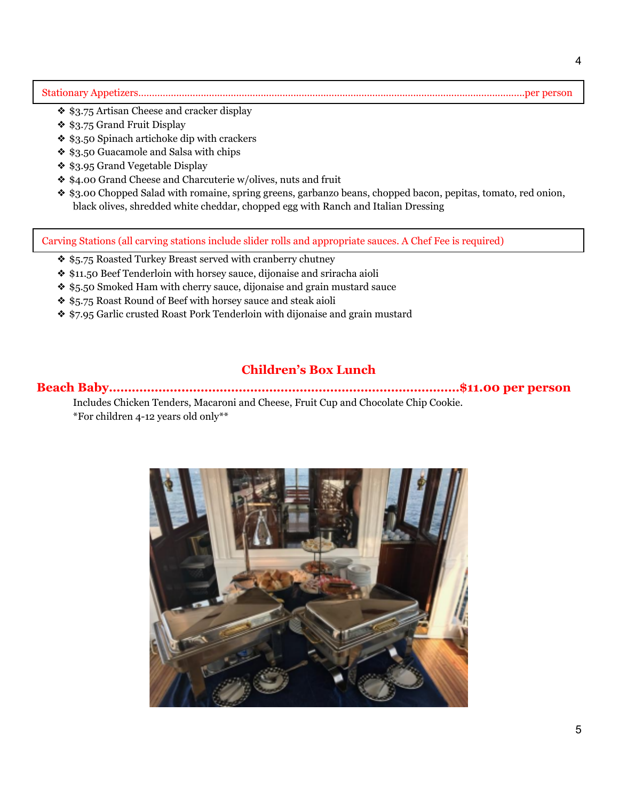#### Stationary Appetizers…………..................................................................................................................................per person

- ❖ \$3.75 Artisan Cheese and cracker display
- ❖ \$3.75 Grand Fruit Display
- ❖ \$3.50 Spinach artichoke dip with crackers
- ❖ \$3.50 Guacamole and Salsa with chips
- ❖ \$3.95 Grand Vegetable Display
- ❖ \$4.00 Grand Cheese and Charcuterie w/olives, nuts and fruit
- ❖ \$3.00 Chopped Salad with romaine, spring greens, garbanzo beans, chopped bacon, pepitas, tomato, red onion, black olives, shredded white cheddar, chopped egg with Ranch and Italian Dressing

Carving Stations (all carving stations include slider rolls and appropriate sauces. A Chef Fee is required)

- ❖ \$5.75 Roasted Turkey Breast served with cranberry chutney
- ❖ \$11.50 Beef Tenderloin with horsey sauce, dijonaise and sriracha aioli
- ❖ \$5.50 Smoked Ham with cherry sauce, dijonaise and grain mustard sauce
- ❖ \$5.75 Roast Round of Beef with horsey sauce and steak aioli
- ❖ \$7.95 Garlic crusted Roast Pork Tenderloin with dijonaise and grain mustard

## **Children's Box Lunch**

#### **Beach Baby………………..………………………………………………………………\$11.00 per person**

Includes Chicken Tenders, Macaroni and Cheese, Fruit Cup and Chocolate Chip Cookie. \*For children 4-12 years old only\*\*

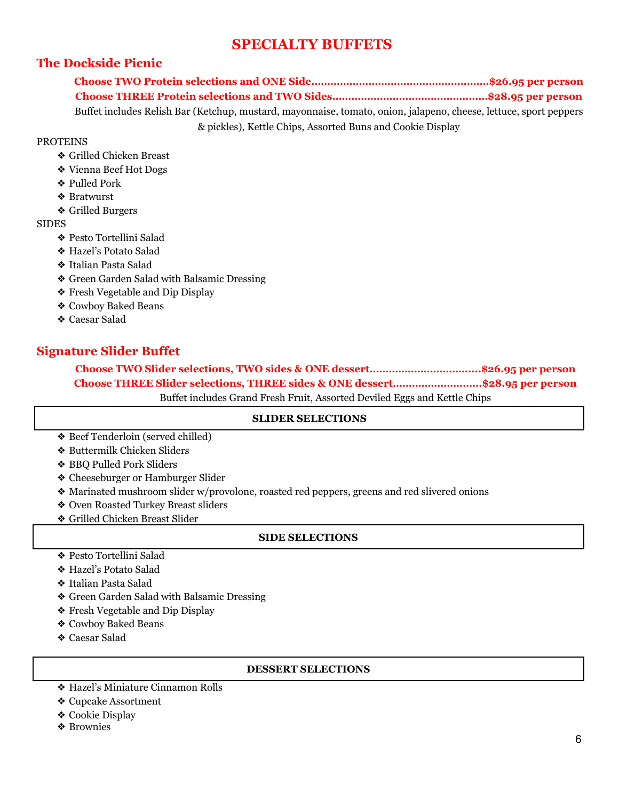# **SPECIALTY BUFFETS**

## **The Dockside Picnic**

| Buffet includes Relish Bar (Ketchup, mustard, mayonnaise, tomato, onion, jalapeno, cheese, lettuce, sport peppers |  |
|-------------------------------------------------------------------------------------------------------------------|--|
| & pickles), Kettle Chips, Assorted Buns and Cookie Display                                                        |  |

## **PROTEINS**

- ❖ Grilled Chicken Breast
- ❖ Vienna Beef Hot Dogs
- ❖ Pulled Pork
- ❖ Bratwurst
- ❖ Grilled Burgers

## SIDES

- ❖ Pesto Tortellini Salad
- ❖ Hazel's Potato Salad
- ❖ Italian Pasta Salad
- ❖ Green Garden Salad with Balsamic Dressing
- ❖ Fresh Vegetable and Dip Display
- ❖ Cowboy Baked Beans
- ❖ Caesar Salad

## **Signature Slider Buffet**

**Choose TWO Slider selections, TWO sides & ONE dessert………………………….....\$26.95 per person Choose THREE Slider selections, THREE sides & ONE dessert………………….…...\$28.95 per person** Buffet includes Grand Fresh Fruit, Assorted Deviled Eggs and Kettle Chips

#### **SLIDER SELECTIONS**

- ❖ Beef Tenderloin (served chilled)
- ❖ Buttermilk Chicken Sliders
- ❖ BBQ Pulled Pork Sliders
- ❖ Cheeseburger or Hamburger Slider
- ❖ Marinated mushroom slider w/provolone, roasted red peppers, greens and red slivered onions
- ❖ Oven Roasted Turkey Breast sliders
- ❖ Grilled Chicken Breast Slider

### **SIDE SELECTIONS**

- ❖ Pesto Tortellini Salad
- ❖ Hazel's Potato Salad
- ❖ Italian Pasta Salad
- ❖ Green Garden Salad with Balsamic Dressing
- ❖ Fresh Vegetable and Dip Display
- ❖ Cowboy Baked Beans
- ❖ Caesar Salad

#### **DESSERT SELECTIONS**

- ❖ Hazel's Miniature Cinnamon Rolls
- ❖ Cupcake Assortment
- ❖ Cookie Display
- ❖ Brownies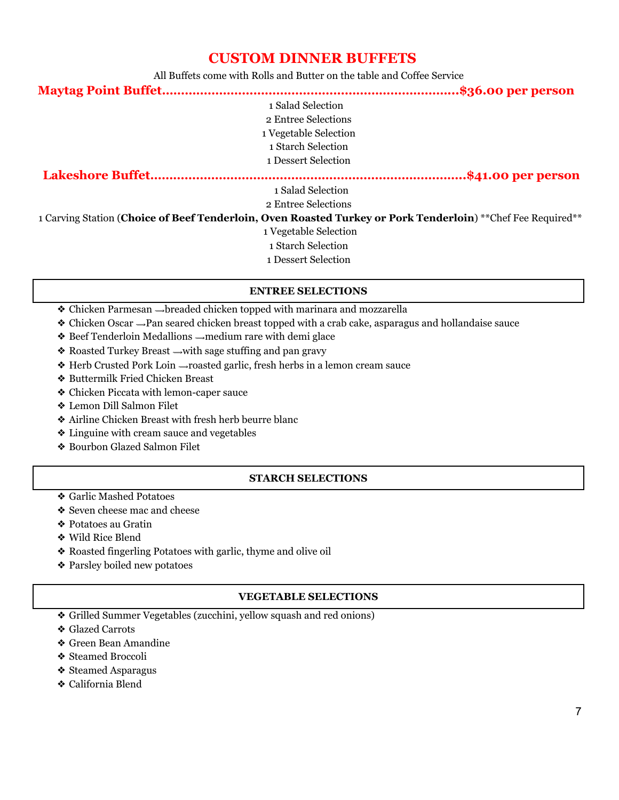## **CUSTOM DINNER BUFFETS**

All Buffets come with Rolls and Butter on the table and Coffee Service

| \$36.00 per person                                                                                           |
|--------------------------------------------------------------------------------------------------------------|
| 1 Salad Selection                                                                                            |
| 2 Entree Selections                                                                                          |
| 1 Vegetable Selection                                                                                        |
| 1 Starch Selection                                                                                           |
| 1 Dessert Selection                                                                                          |
| .\$41.00 per person                                                                                          |
| 1 Salad Selection                                                                                            |
| 2 Entree Selections                                                                                          |
| 1 Carving Station (Choice of Beef Tenderloin, Oven Roasted Turkey or Pork Tenderloin) ** Chef Fee Required** |
| 1 Vegetable Selection                                                                                        |
| 1 Starch Selection                                                                                           |
| 1 Dessert Selection                                                                                          |

#### **ENTREE SELECTIONS**

- ❖ Chicken Parmesan ⟿breaded chicken topped with marinara and mozzarella
- ◆ Chicken Oscar → Pan seared chicken breast topped with a crab cake, asparagus and hollandaise sauce
- ◆ Beef Tenderloin Medallions medium rare with demi glace
- ❖ Roasted Turkey Breast →with sage stuffing and pan gravy
- ❖ Herb Crusted Pork Loin ⟿roasted garlic, fresh herbs in a lemon cream sauce
- ❖ Buttermilk Fried Chicken Breast
- ❖ Chicken Piccata with lemon-caper sauce
- ❖ Lemon Dill Salmon Filet
- ❖ Airline Chicken Breast with fresh herb beurre blanc
- ❖ Linguine with cream sauce and vegetables
- ❖ Bourbon Glazed Salmon Filet

#### **STARCH SELECTIONS**

- ❖ Garlic Mashed Potatoes
- ❖ Seven cheese mac and cheese
- ❖ Potatoes au Gratin
- ❖ Wild Rice Blend
- ❖ Roasted fingerling Potatoes with garlic, thyme and olive oil
- ❖ Parsley boiled new potatoes

#### **VEGETABLE SELECTIONS**

- ❖ Grilled Summer Vegetables (zucchini, yellow squash and red onions)
- ❖ Glazed Carrots
- ❖ Green Bean Amandine
- ❖ Steamed Broccoli
- ❖ Steamed Asparagus
- ❖ California Blend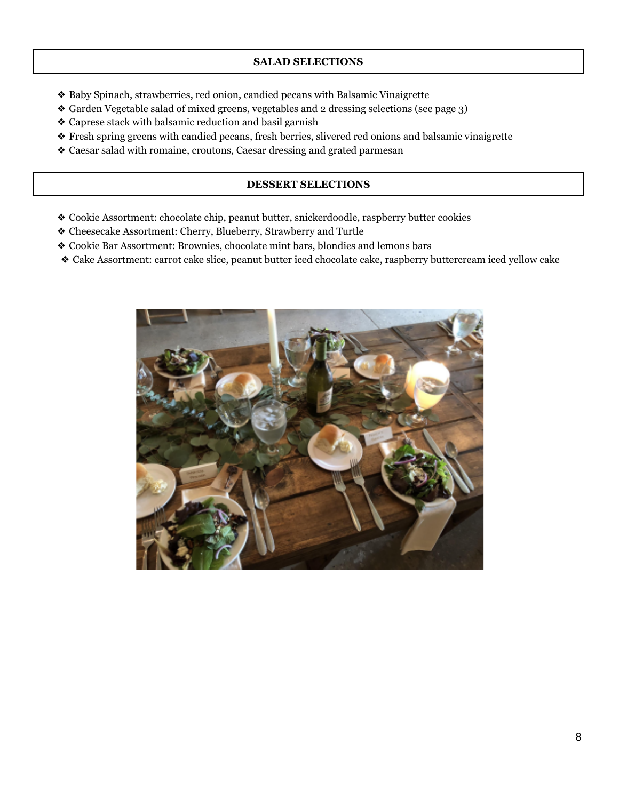#### **SALAD SELECTIONS**

- ❖ Baby Spinach, strawberries, red onion, candied pecans with Balsamic Vinaigrette
- ❖ Garden Vegetable salad of mixed greens, vegetables and 2 dressing selections (see page 3)
- ❖ Caprese stack with balsamic reduction and basil garnish
- ❖ Fresh spring greens with candied pecans, fresh berries, slivered red onions and balsamic vinaigrette
- ❖ Caesar salad with romaine, croutons, Caesar dressing and grated parmesan

#### **DESSERT SELECTIONS**

- ❖ Cookie Assortment: chocolate chip, peanut butter, snickerdoodle, raspberry butter cookies
- ❖ Cheesecake Assortment: Cherry, Blueberry, Strawberry and Turtle
- ❖ Cookie Bar Assortment: Brownies, chocolate mint bars, blondies and lemons bars
- ❖ Cake Assortment: carrot cake slice, peanut butter iced chocolate cake, raspberry buttercream iced yellow cake

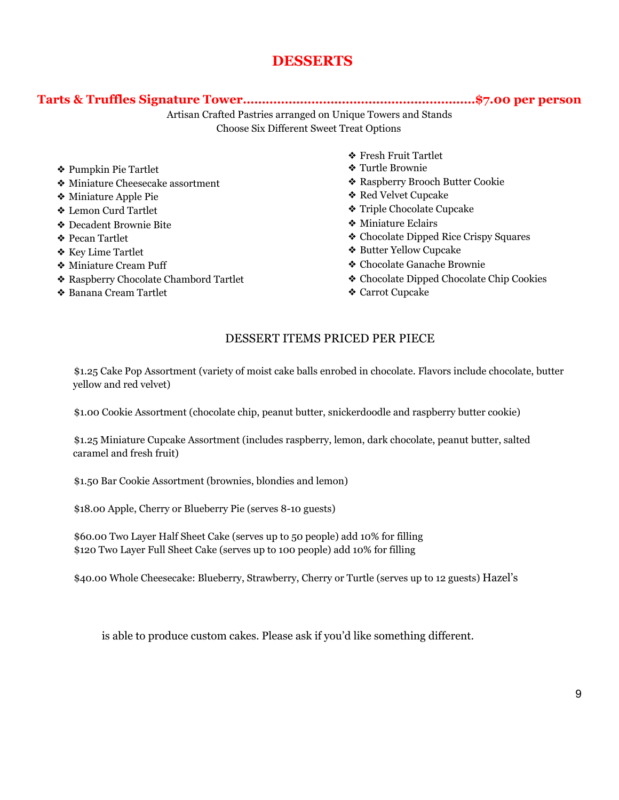# **DESSERTS**

**Tarts & Truffles Signature Tower………………………………………….…………\$7.00 per person**

Artisan Crafted Pastries arranged on Unique Towers and Stands Choose Six Different Sweet Treat Options

- ❖ Pumpkin Pie Tartlet
- ❖ Miniature Cheesecake assortment
- ❖ Miniature Apple Pie
- ❖ Lemon Curd Tartlet
- ❖ Decadent Brownie Bite
- ❖ Pecan Tartlet
- ❖ Key Lime Tartlet
- ❖ Miniature Cream Puff
- ❖ Raspberry Chocolate Chambord Tartlet
- ❖ Banana Cream Tartlet
- ❖ Fresh Fruit Tartlet
- ❖ Turtle Brownie
- ❖ Raspberry Brooch Butter Cookie
- ❖ Red Velvet Cupcake
- ❖ Triple Chocolate Cupcake
- ❖ Miniature Eclairs
- ❖ Chocolate Dipped Rice Crispy Squares
- ❖ Butter Yellow Cupcake
- ❖ Chocolate Ganache Brownie
- ❖ Chocolate Dipped Chocolate Chip Cookies
- ❖ Carrot Cupcake

### DESSERT ITEMS PRICED PER PIECE

\$1.25 Cake Pop Assortment (variety of moist cake balls enrobed in chocolate. Flavors include chocolate, butter yellow and red velvet)

\$1.00 Cookie Assortment (chocolate chip, peanut butter, snickerdoodle and raspberry butter cookie)

\$1.25 Miniature Cupcake Assortment (includes raspberry, lemon, dark chocolate, peanut butter, salted caramel and fresh fruit)

\$1.50 Bar Cookie Assortment (brownies, blondies and lemon)

\$18.00 Apple, Cherry or Blueberry Pie (serves 8-10 guests)

\$60.00 Two Layer Half Sheet Cake (serves up to 50 people) add 10% for filling \$120 Two Layer Full Sheet Cake (serves up to 100 people) add 10% for filling

\$40.00 Whole Cheesecake: Blueberry, Strawberry, Cherry or Turtle (serves up to 12 guests) Hazel's

is able to produce custom cakes. Please ask if you'd like something different.